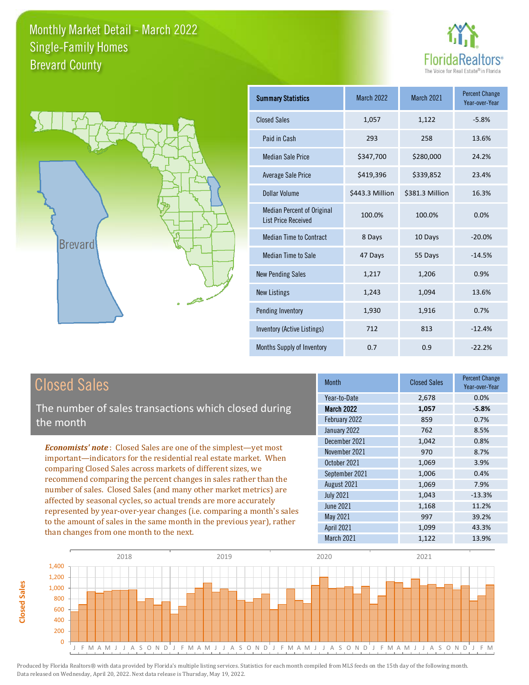



| <b>Summary Statistics</b>                                       | March 2022      | March 2021      | <b>Percent Change</b><br>Year-over-Year |
|-----------------------------------------------------------------|-----------------|-----------------|-----------------------------------------|
| <b>Closed Sales</b>                                             | 1,057           | 1,122           | $-5.8%$                                 |
| Paid in Cash                                                    | 293             | 258             | 13.6%                                   |
| <b>Median Sale Price</b>                                        | \$347,700       | \$280,000       | 24.2%                                   |
| <b>Average Sale Price</b>                                       | \$419,396       | \$339,852       | 23.4%                                   |
| Dollar Volume                                                   | \$443.3 Million | \$381.3 Million | 16.3%                                   |
| <b>Median Percent of Original</b><br><b>List Price Received</b> | 100.0%          | 100.0%          | 0.0%                                    |
| <b>Median Time to Contract</b>                                  | 8 Days          | 10 Days         | $-20.0%$                                |
| <b>Median Time to Sale</b>                                      | 47 Days         | 55 Days         | $-14.5%$                                |
| <b>New Pending Sales</b>                                        | 1,217           | 1,206           | 0.9%                                    |
| New Listings                                                    | 1,243           | 1,094           | 13.6%                                   |
| Pending Inventory                                               | 1,930           | 1,916           | 0.7%                                    |
| Inventory (Active Listings)                                     | 712             | 813             | $-12.4%$                                |
| <b>Months Supply of Inventory</b>                               | 0.7             | 0.9             | $-22.2%$                                |

#### Closed Sales

**Closed Sales**

**Closed Sales** 

The number of sales transactions which closed during the month

*Economists' note* : Closed Sales are one of the simplest—yet most important—indicators for the residential real estate market. When comparing Closed Sales across markets of different sizes, we recommend comparing the percent changes in sales rather than the number of sales. Closed Sales (and many other market metrics) are affected by seasonal cycles, so actual trends are more accurately represented by year-over-year changes (i.e. comparing a month's sales to the amount of sales in the same month in the previous year), rather than changes from one month to the next.

| <b>Closed Sales</b> | <b>Percent Change</b><br>Year-over-Year |
|---------------------|-----------------------------------------|
| 2,678               | 0.0%                                    |
| 1,057               | $-5.8%$                                 |
| 859                 | 0.7%                                    |
| 762                 | 8.5%                                    |
| 1,042               | 0.8%                                    |
| 970                 | 8.7%                                    |
| 1,069               | 3.9%                                    |
| 1,006               | 0.4%                                    |
| 1,069               | 7.9%                                    |
| 1,043               | $-13.3%$                                |
| 1,168               | 11.2%                                   |
| 997                 | 39.2%                                   |
| 1,099               | 43.3%                                   |
| 1,122               | 13.9%                                   |
|                     |                                         |

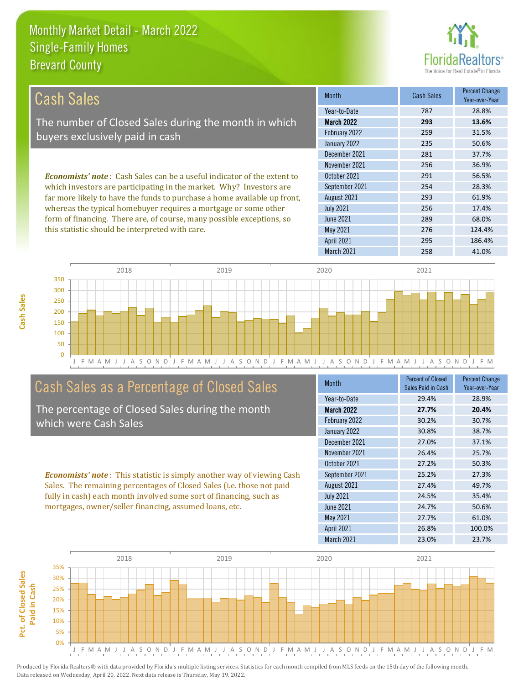

| Cash Sales                                                                     | <b>Month</b>      | <b>Cash Sales</b> | <b>Percent Change</b><br>Year-over-Year |
|--------------------------------------------------------------------------------|-------------------|-------------------|-----------------------------------------|
|                                                                                | Year-to-Date      | 787               | 28.8%                                   |
| The number of Closed Sales during the month in which                           | <b>March 2022</b> | 293               | 13.6%                                   |
| buyers exclusively paid in cash                                                | February 2022     | 259               | 31.5%                                   |
|                                                                                | January 2022      | 235               | 50.6%                                   |
|                                                                                | December 2021     | 281               | 37.7%                                   |
|                                                                                | November 2021     | 256               | 36.9%                                   |
| <b>Economists' note:</b> Cash Sales can be a useful indicator of the extent to | October 2021      | 291               | 56.5%                                   |
| which investors are participating in the market. Why? Investors are            | September 2021    | 254               | 28.3%                                   |
| far more likely to have the funds to purchase a home available up front,       | August 2021       | 293               | 61.9%                                   |
| whereas the typical homebuyer requires a mortgage or some other                | <b>July 2021</b>  | 256               | 17.4%                                   |
| form of financing. There are, of course, many possible exceptions, so          | June 2021         | 289               | 68.0%                                   |
| this statistic should be interpreted with care.                                | May 2021          | 276               | 124.4%                                  |
|                                                                                | <b>April 2021</b> | 295               | 186.4%                                  |



#### Cash Sales as a Percentage of Closed Sales

The percentage of Closed Sales during the month which were Cash Sales

*Economists' note* : This statistic is simply another way of viewing Cash Sales. The remaining percentages of Closed Sales (i.e. those not paid fully in cash) each month involved some sort of financing, such as mortgages, owner/seller financing, assumed loans, etc.

| <b>Month</b>      | <b>Percent of Closed</b><br>Sales Paid in Cash | <b>Percent Change</b><br>Year-over-Year |
|-------------------|------------------------------------------------|-----------------------------------------|
| Year-to-Date      | 29.4%                                          | 28.9%                                   |
| <b>March 2022</b> | 27.7%                                          | 20.4%                                   |
| February 2022     | 30.2%                                          | 30.7%                                   |
| January 2022      | 30.8%                                          | 38.7%                                   |
| December 2021     | 27.0%                                          | 37.1%                                   |
| November 2021     | 26.4%                                          | 25.7%                                   |
| October 2021      | 27.2%                                          | 50.3%                                   |
| September 2021    | 25.2%                                          | 27.3%                                   |
| August 2021       | 27.4%                                          | 49.7%                                   |
| <b>July 2021</b>  | 24.5%                                          | 35.4%                                   |
| <b>June 2021</b>  | 24.7%                                          | 50.6%                                   |
| <b>May 2021</b>   | 27.7%                                          | 61.0%                                   |
| <b>April 2021</b> | 26.8%                                          | 100.0%                                  |
| March 2021        | 23.0%                                          | 23.7%                                   |

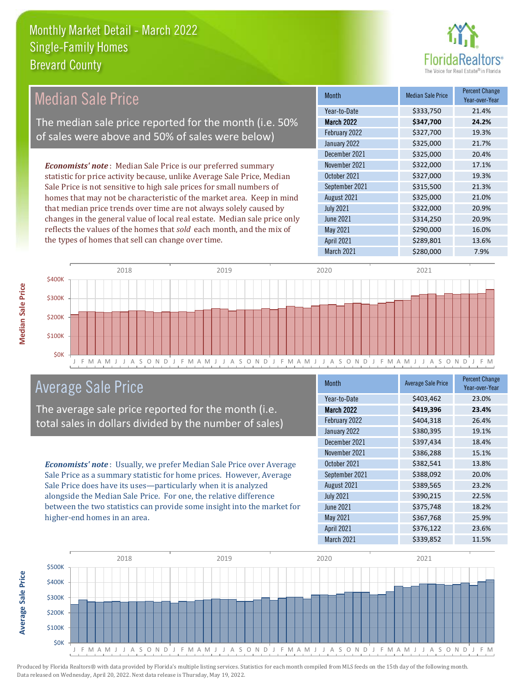

| <b>Median Sale Price</b>                                                  | <b>Month</b>      | <b>Median Sale Price</b> | <b>Percent Change</b><br>Year-over-Year |
|---------------------------------------------------------------------------|-------------------|--------------------------|-----------------------------------------|
|                                                                           | Year-to-Date      | \$333,750                | 21.4%                                   |
| The median sale price reported for the month (i.e. 50%                    | <b>March 2022</b> | \$347,700                | 24.2%                                   |
| of sales were above and 50% of sales were below)                          | February 2022     | \$327,700                | 19.3%                                   |
|                                                                           | January 2022      | \$325,000                | 21.7%                                   |
|                                                                           | December 2021     | \$325,000                | 20.4%                                   |
| <b>Economists' note:</b> Median Sale Price is our preferred summary       | November 2021     | \$322,000                | 17.1%                                   |
| statistic for price activity because, unlike Average Sale Price, Median   | October 2021      | \$327,000                | 19.3%                                   |
| Sale Price is not sensitive to high sale prices for small numbers of      | September 2021    | \$315,500                | 21.3%                                   |
| homes that may not be characteristic of the market area. Keep in mind     | August 2021       | \$325,000                | 21.0%                                   |
| that median price trends over time are not always solely caused by        | <b>July 2021</b>  | \$322,000                | 20.9%                                   |
| changes in the general value of local real estate. Median sale price only | June 2021         | \$314,250                | 20.9%                                   |
| reflects the values of the homes that sold each month, and the mix of     | May 2021          | \$290,000                | 16.0%                                   |
| the types of homes that sell can change over time.                        | <b>April 2021</b> | \$289,801                | 13.6%                                   |
|                                                                           | March 2021        | \$280,000                | 7.9%                                    |



#### Average Sale Price

The average sale price reported for the month (i.e. total sales in dollars divided by the number of sales)

*Economists' note* : Usually, we prefer Median Sale Price over Average Sale Price as a summary statistic for home prices. However, Average Sale Price does have its uses—particularly when it is analyzed alongside the Median Sale Price. For one, the relative difference between the two statistics can provide some insight into the market for higher-end homes in an area.

| <b>Month</b>      | <b>Average Sale Price</b> | <b>Percent Change</b><br>Year-over-Year |
|-------------------|---------------------------|-----------------------------------------|
| Year-to-Date      | \$403,462                 | 23.0%                                   |
| March 2022        | \$419,396                 | 23.4%                                   |
| February 2022     | \$404,318                 | 26.4%                                   |
| January 2022      | \$380,395                 | 19.1%                                   |
| December 2021     | \$397,434                 | 18.4%                                   |
| November 2021     | \$386,288                 | 15.1%                                   |
| October 2021      | \$382,541                 | 13.8%                                   |
| September 2021    | \$388,092                 | 20.0%                                   |
| August 2021       | \$389,565                 | 23.2%                                   |
| <b>July 2021</b>  | \$390,215                 | 22.5%                                   |
| June 2021         | \$375,748                 | 18.2%                                   |
| <b>May 2021</b>   | \$367,768                 | 25.9%                                   |
| <b>April 2021</b> | \$376,122                 | 23.6%                                   |
| March 2021        | \$339,852                 | 11.5%                                   |



Produced by Florida Realtors® with data provided by Florida's multiple listing services. Statistics for each month compiled from MLS feeds on the 15th day of the following month. Data released on Wednesday, April 20, 2022. Next data release is Thursday, May 19, 2022.

**Average Sale Price**

**Average Sale Price**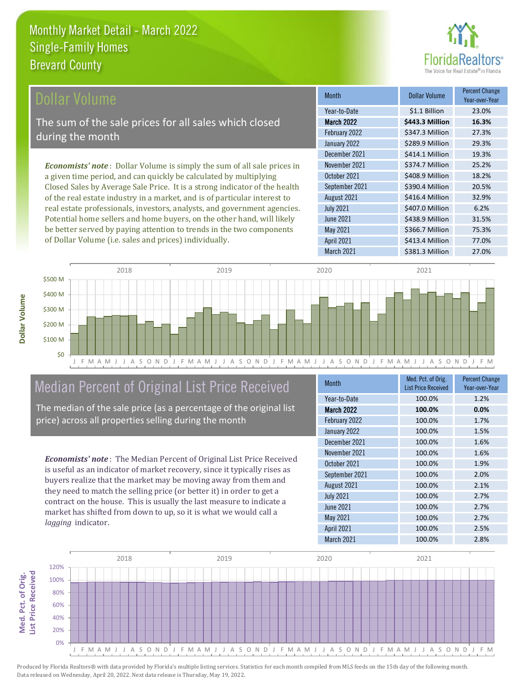

| <b>Dollar Volume</b>                                                            | <b>Month</b>      | <b>Dollar Volume</b> | <b>Percent Change</b><br>Year-over-Year |
|---------------------------------------------------------------------------------|-------------------|----------------------|-----------------------------------------|
|                                                                                 | Year-to-Date      | \$1.1 Billion        | 23.0%                                   |
| The sum of the sale prices for all sales which closed                           | <b>March 2022</b> | \$443.3 Million      | 16.3%                                   |
| during the month                                                                | February 2022     | \$347.3 Million      | 27.3%                                   |
|                                                                                 | January 2022      | \$289.9 Million      | 29.3%                                   |
|                                                                                 | December 2021     | \$414.1 Million      | 19.3%                                   |
| <b>Economists' note</b> : Dollar Volume is simply the sum of all sale prices in | November 2021     | \$374.7 Million      | 25.2%                                   |
| a given time period, and can quickly be calculated by multiplying               | October 2021      | \$408.9 Million      | 18.2%                                   |
| Closed Sales by Average Sale Price. It is a strong indicator of the health      | September 2021    | \$390.4 Million      | 20.5%                                   |
| of the real estate industry in a market, and is of particular interest to       | August 2021       | \$416.4 Million      | 32.9%                                   |
| real estate professionals, investors, analysts, and government agencies.        | <b>July 2021</b>  | \$407.0 Million      | 6.2%                                    |
| Potential home sellers and home buyers, on the other hand, will likely          | <b>June 2021</b>  | \$438.9 Million      | 31.5%                                   |
| be better served by paying attention to trends in the two components            | May 2021          | \$366.7 Million      | 75.3%                                   |



#### Median Percent of Original List Price Received

of Dollar Volume (i.e. sales and prices) individually.

The median of the sale price (as a percentage of the original list price) across all properties selling during the month

*Economists' note* : The Median Percent of Original List Price Received is useful as an indicator of market recovery, since it typically rises as buyers realize that the market may be moving away from them and they need to match the selling price (or better it) in order to get a contract on the house. This is usually the last measure to indicate a market has shifted from down to up, so it is what we would call a *lagging* indicator.

| <b>Month</b>      | Med. Pct. of Orig.<br><b>List Price Received</b> | <b>Percent Change</b><br>Year-over-Year |
|-------------------|--------------------------------------------------|-----------------------------------------|
| Year-to-Date      | 100.0%                                           | 1.2%                                    |
| <b>March 2022</b> | 100.0%                                           | 0.0%                                    |
| February 2022     | 100.0%                                           | 1.7%                                    |
| January 2022      | 100.0%                                           | 1.5%                                    |
| December 2021     | 100.0%                                           | 1.6%                                    |
| November 2021     | 100.0%                                           | 1.6%                                    |
| October 2021      | 100.0%                                           | 1.9%                                    |
| September 2021    | 100.0%                                           | 2.0%                                    |
| August 2021       | 100.0%                                           | 2.1%                                    |
| <b>July 2021</b>  | 100.0%                                           | 2.7%                                    |
| <b>June 2021</b>  | 100.0%                                           | 2.7%                                    |
| May 2021          | 100.0%                                           | 2.7%                                    |
| <b>April 2021</b> | 100.0%                                           | 2.5%                                    |
| March 2021        | 100.0%                                           | 2.8%                                    |

March 2021 \$381.3 Million 27.0%

April 2021 \$413.4 Million 77.0%



Produced by Florida Realtors® with data provided by Florida's multiple listing services. Statistics for each month compiled from MLS feeds on the 15th day of the following month. Data released on Wednesday, April 20, 2022. Next data release is Thursday, May 19, 2022.

**Med. Pct. of Orig.** 

Med. Pct. of Orig.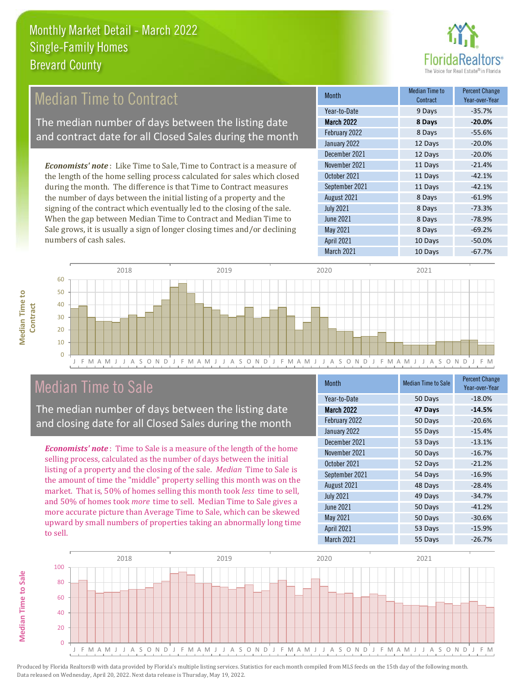

#### 12 Days -20.0% December 2021 **12 Days** -20.0% Month Median Time to **Contract** Percent Change Year-over-Year March 2022 **8 Days -20.0%** Year-to-Date 9 Days -35.7% February 2022 8 Days -55.6% January 2022 September 2021 **11 Days** -42.1% November 2021 **11 Days** -21.4% October 2021 **11 Days** -42.1% *Economists' note* : Like Time to Sale, Time to Contract is a measure of the length of the home selling process calculated for sales which closed during the month. The difference is that Time to Contract measures Median Time to Contract The median number of days between the listing date and contract date for all Closed Sales during the month

the number of days between the initial listing of a property and the signing of the contract which eventually led to the closing of the sale. When the gap between Median Time to Contract and Median Time to Sale grows, it is usually a sign of longer closing times and/or declining numbers of cash sales.

| Year-to-Date      | 9 Days  | $-35.7%$ |
|-------------------|---------|----------|
| <b>March 2022</b> | 8 Days  | $-20.0%$ |
| February 2022     | 8 Days  | $-55.6%$ |
| January 2022      | 12 Days | $-20.0%$ |
| December 2021     | 12 Days | $-20.0%$ |
| November 2021     | 11 Days | $-21.4%$ |
| October 2021      | 11 Days | $-42.1%$ |
| September 2021    | 11 Days | $-42.1%$ |
| August 2021       | 8 Days  | $-61.9%$ |
| <b>July 2021</b>  | 8 Days  | $-73.3%$ |
| <b>June 2021</b>  | 8 Days  | $-78.9%$ |
| <b>May 2021</b>   | 8 Days  | $-69.2%$ |
| <b>April 2021</b> | 10 Days | $-50.0%$ |
| March 2021        | 10 Days | $-67.7%$ |



#### Median Time to Sale

The median number of days between the listing date and closing date for all Closed Sales during the month

*Economists' note* : Time to Sale is a measure of the length of the home selling process, calculated as the number of days between the initial listing of a property and the closing of the sale. *Median* Time to Sale is the amount of time the "middle" property selling this month was on the market. That is, 50% of homes selling this month took *less* time to sell, and 50% of homes took *more* time to sell. Median Time to Sale gives a more accurate picture than Average Time to Sale, which can be skewed upward by small numbers of properties taking an abnormally long time to sell.

| Year-to-Date<br>$-18.0%$<br>50 Days<br><b>March 2022</b><br>47 Days<br>$-14.5%$<br>February 2022<br>50 Days<br>$-20.6%$<br>January 2022<br>$-15.4%$<br>55 Days<br>December 2021<br>53 Days<br>$-13.1%$<br>November 2021<br>$-16.7%$<br>50 Days<br>October 2021<br>52 Days<br>$-21.2%$ |
|---------------------------------------------------------------------------------------------------------------------------------------------------------------------------------------------------------------------------------------------------------------------------------------|
|                                                                                                                                                                                                                                                                                       |
|                                                                                                                                                                                                                                                                                       |
|                                                                                                                                                                                                                                                                                       |
|                                                                                                                                                                                                                                                                                       |
|                                                                                                                                                                                                                                                                                       |
|                                                                                                                                                                                                                                                                                       |
|                                                                                                                                                                                                                                                                                       |
| September 2021<br>54 Days<br>$-16.9%$                                                                                                                                                                                                                                                 |
| August 2021<br>48 Days<br>$-28.4%$                                                                                                                                                                                                                                                    |
| <b>July 2021</b><br>49 Days<br>$-34.7%$                                                                                                                                                                                                                                               |
| <b>June 2021</b><br>50 Days<br>$-41.2%$                                                                                                                                                                                                                                               |
| May 2021<br>50 Days<br>$-30.6%$                                                                                                                                                                                                                                                       |
| <b>April 2021</b><br>53 Days<br>$-15.9%$                                                                                                                                                                                                                                              |
| March 2021<br>55 Days<br>$-26.7%$                                                                                                                                                                                                                                                     |



**Median Time to** 

**Median Time to**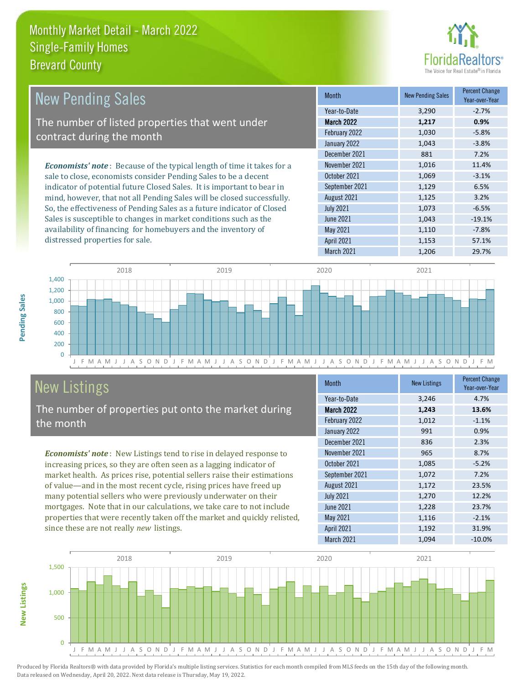### **tors**<sup>®</sup> The Voice for Real Estate

| <b>New Pending Sales</b>                                                      | <b>Month</b>     | <b>New Pending Sales</b> | <b>Percent Change</b><br>Year-over-Year |
|-------------------------------------------------------------------------------|------------------|--------------------------|-----------------------------------------|
|                                                                               | Year-to-Date     | 3,290                    | $-2.7%$                                 |
| The number of listed properties that went under                               | March 2022       | 1,217                    | 0.9%                                    |
| contract during the month                                                     | February 2022    | 1,030                    | $-5.8%$                                 |
|                                                                               | January 2022     | 1,043                    | $-3.8%$                                 |
|                                                                               | December 2021    | 881                      | 7.2%                                    |
| <b>Economists' note:</b> Because of the typical length of time it takes for a | November 2021    | 1.016                    | 11.4%                                   |
| sale to close, economists consider Pending Sales to be a decent               | October 2021     | 1,069                    | $-3.1%$                                 |
| indicator of potential future Closed Sales. It is important to bear in        | September 2021   | 1,129                    | 6.5%                                    |
| mind, however, that not all Pending Sales will be closed successfully.        | August 2021      | 1,125                    | 3.2%                                    |
| So, the effectiveness of Pending Sales as a future indicator of Closed        | <b>July 2021</b> | 1,073                    | $-6.5%$                                 |
| Sales is susceptible to changes in market conditions such as the              | June 2021        | 1,043                    | $-19.1%$                                |
| availability of financing for homebuyers and the inventory of                 | May 2021         | 1.110                    | $-7.8%$                                 |



### New Listings

distressed properties for sale.

The number of properties put onto the market during the month

*Economists' note* : New Listings tend to rise in delayed response to increasing prices, so they are often seen as a lagging indicator of market health. As prices rise, potential sellers raise their estimations of value—and in the most recent cycle, rising prices have freed up many potential sellers who were previously underwater on their mortgages. Note that in our calculations, we take care to not include properties that were recently taken off the market and quickly relisted, since these are not really *new* listings.

| <b>Month</b>      | <b>New Listings</b> | <b>Percent Change</b><br>Year-over-Year |
|-------------------|---------------------|-----------------------------------------|
| Year-to-Date      | 3,246               | 4.7%                                    |
| <b>March 2022</b> | 1,243               | 13.6%                                   |
| February 2022     | 1,012               | $-1.1%$                                 |
| January 2022      | 991                 | 0.9%                                    |
| December 2021     | 836                 | 2.3%                                    |
| November 2021     | 965                 | 8.7%                                    |
| October 2021      | 1,085               | $-5.2%$                                 |
| September 2021    | 1,072               | 7.2%                                    |
| August 2021       | 1,172               | 23.5%                                   |
| <b>July 2021</b>  | 1,270               | 12.2%                                   |
| June 2021         | 1,228               | 23.7%                                   |
| May 2021          | 1,116               | $-2.1%$                                 |
| <b>April 2021</b> | 1,192               | 31.9%                                   |
| March 2021        | 1,094               | $-10.0%$                                |

April 2021 1,153 57.1% March 2021 1,206 29.7%



Pending Sales **Pending Sales**

**New Listings**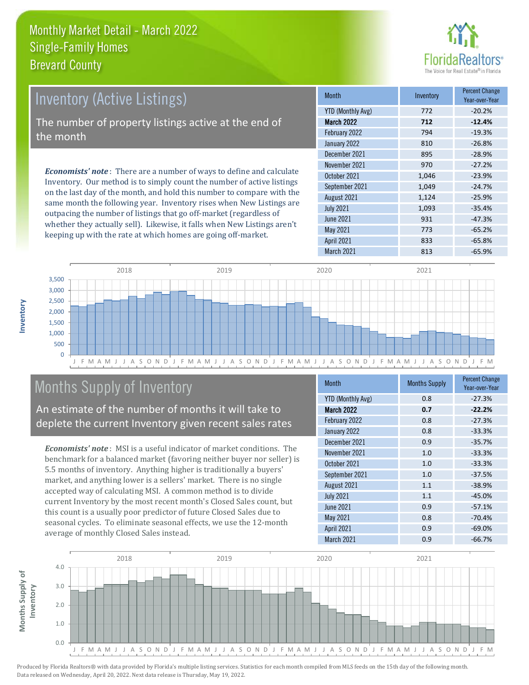

| <b>Inventory (Active Listings)</b>                                                                                                                                                                                              | <b>Month</b>      | Inventory | <b>Percent Change</b><br>Year-over-Year |
|---------------------------------------------------------------------------------------------------------------------------------------------------------------------------------------------------------------------------------|-------------------|-----------|-----------------------------------------|
|                                                                                                                                                                                                                                 | YTD (Monthly Avg) | 772       | $-20.2%$                                |
| The number of property listings active at the end of                                                                                                                                                                            | <b>March 2022</b> | 712       | $-12.4%$                                |
| $\overline{\phantom{a}}$ the month'                                                                                                                                                                                             | February 2022     | 794       | $-19.3%$                                |
|                                                                                                                                                                                                                                 | January 2022      | 810       | $-26.8%$                                |
|                                                                                                                                                                                                                                 | December 2021     | 895       | $-28.9%$                                |
| <b>Economists' note:</b> There are a number of ways to define and calculate<br>Inventory. Our method is to simply count the number of active listings<br>on the last day of the month, and hold this number to compare with the | November 2021     | 970       | $-27.2%$                                |
|                                                                                                                                                                                                                                 | October 2021      | 1,046     | $-23.9%$                                |
|                                                                                                                                                                                                                                 | September 2021    | 1.049     | $-24.7%$                                |
|                                                                                                                                                                                                                                 | 1.2.21001         | 1.121     | $2F$ $00'$                              |

same month the following year. Inventory rises when New Listings are outpacing the number of listings that go off-market (regardless of whether they actually sell). Likewise, it falls when New Listings aren't keeping up with the rate at which homes are going off-market.

|  | 111 <b>011111</b>        | <b>HIVOHLOIY</b> | Year-over-Year |
|--|--------------------------|------------------|----------------|
|  | <b>YTD (Monthly Avg)</b> | 772              | $-20.2%$       |
|  | <b>March 2022</b>        | 712              | $-12.4%$       |
|  | February 2022            | 794              | $-19.3%$       |
|  | January 2022             | 810              | $-26.8%$       |
|  | December 2021            | 895              | $-28.9%$       |
|  | November 2021            | 970              | $-27.2%$       |
|  | October 2021             | 1,046            | $-23.9%$       |
|  | September 2021           | 1,049            | $-24.7%$       |
|  | August 2021              | 1,124            | $-25.9%$       |
|  | <b>July 2021</b>         | 1,093            | $-35.4%$       |
|  | <b>June 2021</b>         | 931              | $-47.3%$       |
|  | May 2021                 | 773              | $-65.2%$       |
|  | <b>April 2021</b>        | 833              | $-65.8%$       |
|  | March 2021               | 813              | $-65.9%$       |



### Months Supply of Inventory

An estimate of the number of months it will take to deplete the current Inventory given recent sales rates

*Economists' note* : MSI is a useful indicator of market conditions. The benchmark for a balanced market (favoring neither buyer nor seller) is 5.5 months of inventory. Anything higher is traditionally a buyers' market, and anything lower is a sellers' market. There is no single accepted way of calculating MSI. A common method is to divide current Inventory by the most recent month's Closed Sales count, but this count is a usually poor predictor of future Closed Sales due to seasonal cycles. To eliminate seasonal effects, we use the 12-month average of monthly Closed Sales instead.

| <b>Month</b>             | <b>Months Supply</b> | <b>Percent Change</b><br>Year-over-Year |  |
|--------------------------|----------------------|-----------------------------------------|--|
| <b>YTD (Monthly Avg)</b> | 0.8                  | $-27.3%$                                |  |
| <b>March 2022</b>        | 0.7                  | $-22.2%$                                |  |
| February 2022            | 0.8                  | $-27.3%$                                |  |
| January 2022             | 0.8                  | $-33.3%$                                |  |
| December 2021            | 0.9                  | $-35.7%$                                |  |
| November 2021            | 1.0                  | $-33.3%$                                |  |
| October 2021             | 1.0                  | $-33.3%$                                |  |
| September 2021           | 1.0                  | $-37.5%$                                |  |
| August 2021              | 1.1                  | $-38.9%$                                |  |
| <b>July 2021</b>         | 1.1                  | $-45.0%$                                |  |
| <b>June 2021</b>         | 0.9                  | $-57.1%$                                |  |
| <b>May 2021</b>          | 0.8                  | $-70.4%$                                |  |
| <b>April 2021</b>        | 0.9                  | $-69.0%$                                |  |
| March 2021               | 0.9                  | $-66.7%$                                |  |



**Inventory**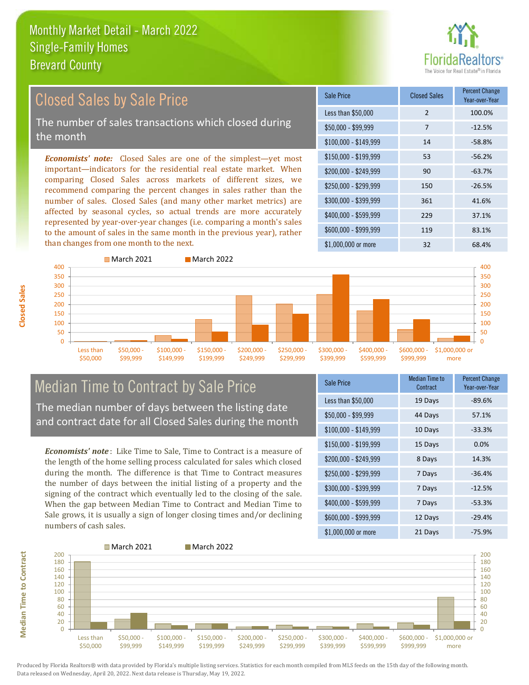

#### Closed Sales by Sale Price

The number of sales transactions which closed during the month

*Economists' note:* Closed Sales are one of the simplest—yet most important—indicators for the residential real estate market. When comparing Closed Sales across markets of different sizes, we recommend comparing the percent changes in sales rather than the number of sales. Closed Sales (and many other market metrics) are affected by seasonal cycles, so actual trends are more accurately represented by year-over-year changes (i.e. comparing a month's sales to the amount of sales in the same month in the previous year), rather than changes from one month to the next.

| Sale Price            | <b>Closed Sales</b> | <b>Percent Change</b><br>Year-over-Year |  |
|-----------------------|---------------------|-----------------------------------------|--|
| Less than \$50,000    | $\mathcal{P}$       | 100.0%                                  |  |
| $$50,000 - $99,999$   | 7                   | $-12.5%$                                |  |
| $$100,000 - $149,999$ | 14                  | $-58.8%$                                |  |
| $$150,000 - $199,999$ | 53                  | $-56.2%$                                |  |
| \$200,000 - \$249,999 | 90                  | $-63.7%$                                |  |
| \$250,000 - \$299,999 | 150                 | $-26.5%$                                |  |
| \$300,000 - \$399,999 | 361                 | 41.6%                                   |  |
| \$400,000 - \$599,999 | 229                 | 37.1%                                   |  |
| $$600,000 - $999,999$ | 119                 | 83.1%                                   |  |
| $$1,000,000$ or more  | 32                  | 68.4%                                   |  |



## Median Time to Contract by Sale Price

The median number of days between the listing date and contract date for all Closed Sales during the month

*Economists' note* : Like Time to Sale, Time to Contract is a measure of the length of the home selling process calculated for sales which closed during the month. The difference is that Time to Contract measures the number of days between the initial listing of a property and the signing of the contract which eventually led to the closing of the sale. When the gap between Median Time to Contract and Median Time to Sale grows, it is usually a sign of longer closing times and/or declining numbers of cash sales.

| <b>Sale Price</b>     | Median Time to<br>Contract | <b>Percent Change</b><br>Year-over-Year |
|-----------------------|----------------------------|-----------------------------------------|
| Less than \$50,000    | 19 Days                    | $-89.6%$                                |
| \$50,000 - \$99,999   | 44 Days                    | 57.1%                                   |
| $$100,000 - $149,999$ | 10 Days                    | $-33.3%$                                |
| $$150,000 - $199,999$ | 15 Days                    | 0.0%                                    |
| \$200,000 - \$249,999 | 8 Days                     | 14.3%                                   |
| \$250,000 - \$299,999 | 7 Days                     | $-36.4%$                                |
| \$300,000 - \$399,999 | 7 Days                     | $-12.5%$                                |
| $$400,000 - $599,999$ | 7 Days                     | $-53.3%$                                |
| $$600,000 - $999,999$ | 12 Days                    | $-29.4%$                                |
| $$1,000,000$ or more  | 21 Days                    | $-75.9%$                                |



Produced by Florida Realtors® with data provided by Florida's multiple listing services. Statistics for each month compiled from MLS feeds on the 15th day of the following month. Data released on Wednesday, April 20, 2022. Next data release is Thursday, May 19, 2022.

**Median Time to Contract**

**Median Time to Contract**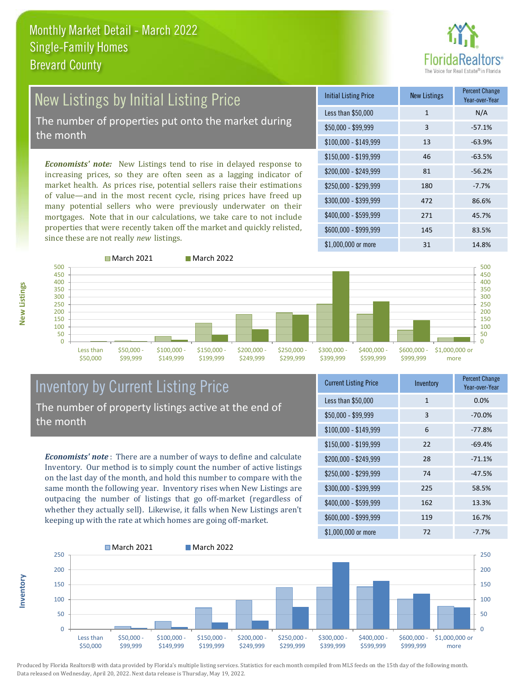

# New Listings by Initial Listing Price

The number of properties put onto the market during the month

*Economists' note:* New Listings tend to rise in delayed response to increasing prices, so they are often seen as a lagging indicator of market health. As prices rise, potential sellers raise their estimations of value—and in the most recent cycle, rising prices have freed up many potential sellers who were previously underwater on their mortgages. Note that in our calculations, we take care to not include properties that were recently taken off the market and quickly relisted, since these are not really *new* listings.





#### Inventory by Current Listing Price The number of property listings active at the end of the month

*Economists' note* : There are a number of ways to define and calculate Inventory. Our method is to simply count the number of active listings on the last day of the month, and hold this number to compare with the same month the following year. Inventory rises when New Listings are outpacing the number of listings that go off-market (regardless of whether they actually sell). Likewise, it falls when New Listings aren't keeping up with the rate at which homes are going off-market.

| <b>Current Listing Price</b> | Inventory    | <b>Percent Change</b><br>Year-over-Year |
|------------------------------|--------------|-----------------------------------------|
| Less than \$50,000           | $\mathbf{1}$ | 0.0%                                    |
| \$50,000 - \$99,999          | 3            | $-70.0%$                                |
| $$100,000 - $149,999$        | 6            | $-77.8%$                                |
| $$150,000 - $199,999$        | 22           | $-69.4%$                                |
| $$200,000 - $249,999$        | 28           | $-71.1%$                                |
| $$250,000 - $299,999$        | 74           | $-47.5%$                                |
| \$300,000 - \$399,999        | 225          | 58.5%                                   |
| \$400,000 - \$599,999        | 162          | 13.3%                                   |
| $$600,000 - $999,999$        | 119          | 16.7%                                   |
| $$1,000,000$ or more         | 72           | $-7.7%$                                 |



Produced by Florida Realtors® with data provided by Florida's multiple listing services. Statistics for each month compiled from MLS feeds on the 15th day of the following month. Data released on Wednesday, April 20, 2022. Next data release is Thursday, May 19, 2022.

**Inventory**